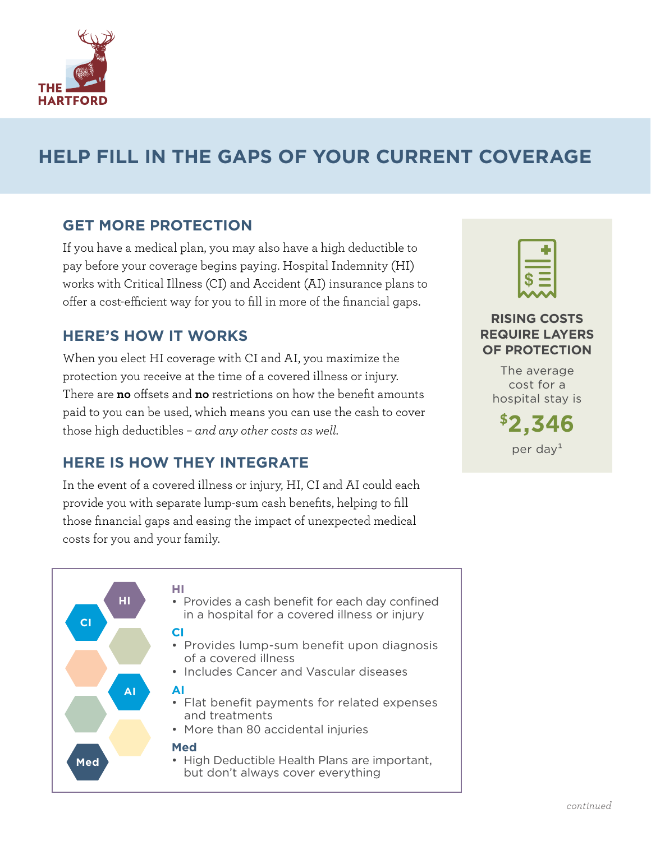

# **HELP FILL IN THE GAPS OF YOUR CURRENT COVERAGE**

### **GET MORE PROTECTION**

If you have a medical plan, you may also have a high deductible to pay before your coverage begins paying. Hospital Indemnity (HI) works with Critical Illness (CI) and Accident (AI) insurance plans to offer a cost-efficient way for you to fill in more of the financial gaps.

### **HERE'S HOW IT WORKS**

When you elect HI coverage with CI and AI, you maximize the protection you receive at the time of a covered illness or injury. There are **no** offsets and **no** restrictions on how the benefit amounts paid to you can be used, which means you can use the cash to cover those high deductibles – *and any other costs as well.*

### **HERE IS HOW THEY INTEGRATE**

In the event of a covered illness or injury, HI, CI and AI could each provide you with separate lump-sum cash benefits, helping to fill those financial gaps and easing the impact of unexpected medical costs for you and your family.



#### **RISING COSTS REQUIRE LAYERS OF PROTECTION**

The average cost for a hospital stay is

**\$2,346** per day $1$